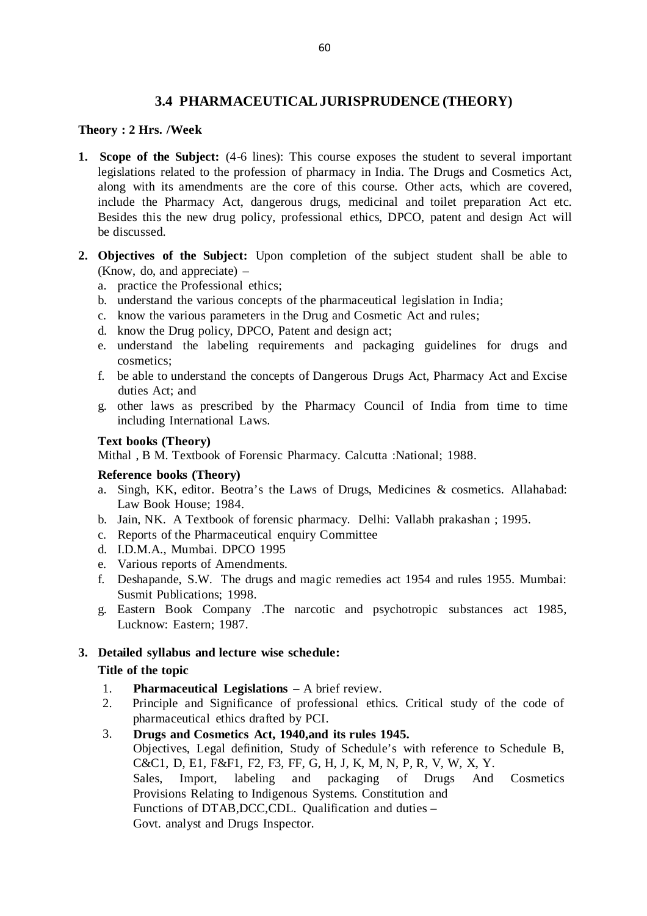# **3.4 PHARMACEUTICAL JURISPRUDENCE (THEORY)**

#### **Theory : 2 Hrs. /Week**

- **1. Scope of the Subject:** (4-6 lines): This course exposes the student to several important legislations related to the profession of pharmacy in India. The Drugs and Cosmetics Act, along with its amendments are the core of this course. Other acts, which are covered, include the Pharmacy Act, dangerous drugs, medicinal and toilet preparation Act etc. Besides this the new drug policy, professional ethics, DPCO, patent and design Act will be discussed.
- **2. Objectives of the Subject:** Upon completion of the subject student shall be able to (Know, do, and appreciate) –
	- a. practice the Professional ethics;
	- b. understand the various concepts of the pharmaceutical legislation in India;
	- c. know the various parameters in the Drug and Cosmetic Act and rules;
	- d. know the Drug policy, DPCO, Patent and design act;
	- e. understand the labeling requirements and packaging guidelines for drugs and cosmetics;
	- f. be able to understand the concepts of Dangerous Drugs Act, Pharmacy Act and Excise duties Act; and
	- g. other laws as prescribed by the Pharmacy Council of India from time to time including International Laws.

### **Text books (Theory)**

Mithal , B M. Textbook of Forensic Pharmacy. Calcutta :National; 1988.

### **Reference books (Theory)**

- a. Singh, KK, editor. Beotra's the Laws of Drugs, Medicines & cosmetics. Allahabad: Law Book House; 1984.
- b. Jain, NK. A Textbook of forensic pharmacy. Delhi: Vallabh prakashan ; 1995.
- c. Reports of the Pharmaceutical enquiry Committee
- d. I.D.M.A., Mumbai. DPCO 1995
- e. Various reports of Amendments.
- f. Deshapande, S.W. The drugs and magic remedies act 1954 and rules 1955. Mumbai: Susmit Publications; 1998.
- g. Eastern Book Company .The narcotic and psychotropic substances act 1985, Lucknow: Eastern; 1987.

## **3. Detailed syllabus and lecture wise schedule: Title of the topic**

- 1. **Pharmaceutical Legislations** A brief review.
- 2. Principle and Significance of professional ethics. Critical study of the code of pharmaceutical ethics drafted by PCI.
- 3. **Drugs and Cosmetics Act, 1940,and its rules 1945.** Objectives, Legal definition, Study of Schedule's with reference to Schedule B, C&C1, D, E1, F&F1, F2, F3, FF, G, H, J, K, M, N, P, R, V, W, X, Y. Sales, Import, labeling and packaging of Drugs And Cosmetics Provisions Relating to Indigenous Systems. Constitution and Functions of DTAB,DCC,CDL. Qualification and duties – Govt. analyst and Drugs Inspector.